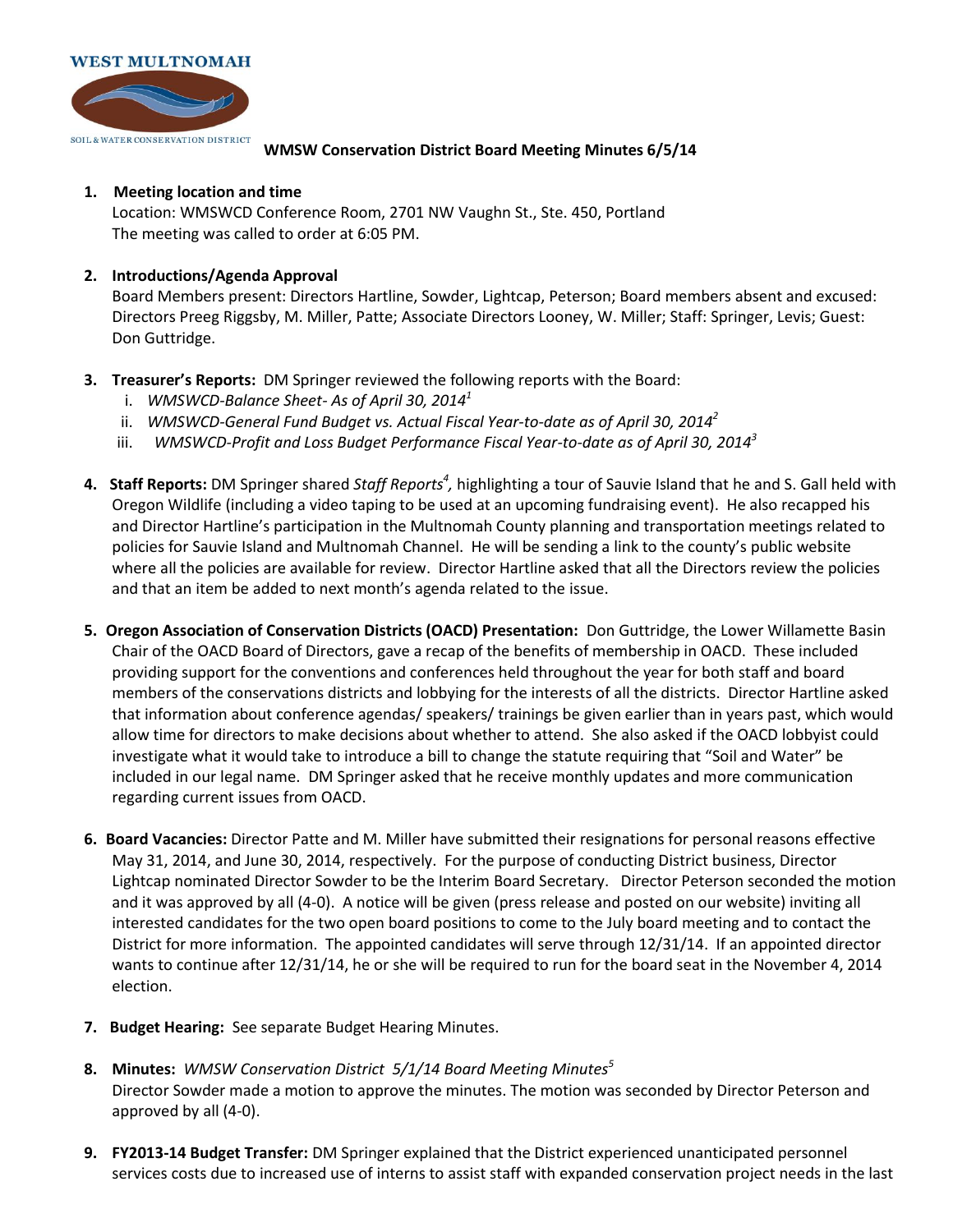

## **WMSW Conservation District Board Meeting Minutes 6/5/14**

## **1. Meeting location and time**

Location: WMSWCD Conference Room, 2701 NW Vaughn St., Ste. 450, Portland The meeting was called to order at 6:05 PM.

## **2. Introductions/Agenda Approval**

Board Members present: Directors Hartline, Sowder, Lightcap, Peterson; Board members absent and excused: Directors Preeg Riggsby, M. Miller, Patte; Associate Directors Looney, W. Miller; Staff: Springer, Levis; Guest: Don Guttridge.

- **3. Treasurer's Reports:** DM Springer reviewed the following reports with the Board:
	- i. *WMSWCD-Balance Sheet- As of April 30, 2014<sup>1</sup>*
	- ii. *WMSWCD-General Fund Budget vs. Actual Fiscal Year-to-date as of April 30, 2014<sup>2</sup>*
	- iii. *WMSWCD-Profit and Loss Budget Performance Fiscal Year-to-date as of April 30, 2014<sup>3</sup>*
- 4. Staff Reports: DM Springer shared Staff Reports<sup>4</sup>, highlighting a tour of Sauvie Island that he and S. Gall held with Oregon Wildlife (including a video taping to be used at an upcoming fundraising event). He also recapped his and Director Hartline's participation in the Multnomah County planning and transportation meetings related to policies for Sauvie Island and Multnomah Channel. He will be sending a link to the county's public website where all the policies are available for review. Director Hartline asked that all the Directors review the policies and that an item be added to next month's agenda related to the issue.
- **5. Oregon Association of Conservation Districts (OACD) Presentation:** Don Guttridge, the Lower Willamette Basin Chair of the OACD Board of Directors, gave a recap of the benefits of membership in OACD. These included providing support for the conventions and conferences held throughout the year for both staff and board members of the conservations districts and lobbying for the interests of all the districts. Director Hartline asked that information about conference agendas/ speakers/ trainings be given earlier than in years past, which would allow time for directors to make decisions about whether to attend. She also asked if the OACD lobbyist could investigate what it would take to introduce a bill to change the statute requiring that "Soil and Water" be included in our legal name. DM Springer asked that he receive monthly updates and more communication regarding current issues from OACD.
- **6. Board Vacancies:** Director Patte and M. Miller have submitted their resignations for personal reasons effective May 31, 2014, and June 30, 2014, respectively. For the purpose of conducting District business, Director Lightcap nominated Director Sowder to be the Interim Board Secretary. Director Peterson seconded the motion and it was approved by all (4-0). A notice will be given (press release and posted on our website) inviting all interested candidates for the two open board positions to come to the July board meeting and to contact the District for more information. The appointed candidates will serve through 12/31/14. If an appointed director wants to continue after 12/31/14, he or she will be required to run for the board seat in the November 4, 2014 election.
- **7. Budget Hearing:** See separate Budget Hearing Minutes.
- **8. Minutes:** *WMSW Conservation District 5/1/14 Board Meeting Minutes<sup>5</sup>* Director Sowder made a motion to approve the minutes. The motion was seconded by Director Peterson and approved by all (4-0).
- **9. FY2013-14 Budget Transfer:** DM Springer explained that the District experienced unanticipated personnel services costs due to increased use of interns to assist staff with expanded conservation project needs in the last